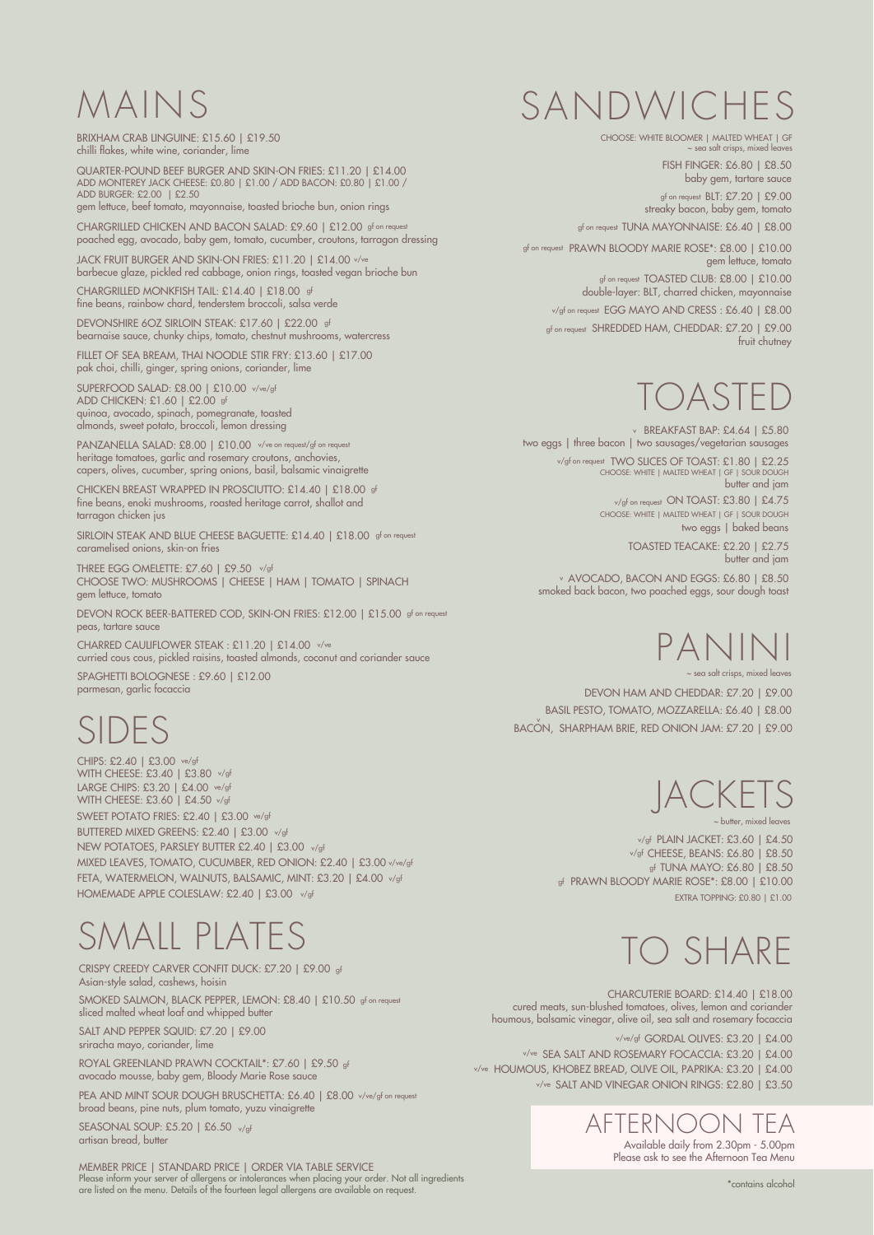# MAINS

BRIXHAM CRAB LINGUINE: £15.60 | £19.50 chilli flakes, white wine, coriander, lime

DEVONSHIRE 6OZ SIRLOIN STEAK: £17.60 | £22.00 gf bearnaise sauce, chunky chips, tomato, chestnut mushrooms, watercress

CHARGRILLED MONKFISH TAIL: £14.40 | £18.00 gf fine beans, rainbow chard, tenderstem broccoli, salsa verde

SUPERFOOD SALAD: £8.00 | £10.00 v/ve/gf ADD CHICKEN: £1.60 | £2.00 gf quinoa, avocado, spinach, pomegranate, toasted almonds, sweet potato, broccoli, lemon dressing

JACK FRUIT BURGER AND SKIN-ON FRIES: £11.20 | £14.00 v/ve barbecue glaze, pickled red cabbage, onion rings, toasted vegan brioche bun

PANZANELLA SALAD: £8.00 | £10.00 v/ve on request/gf on request heritage tomatoes, garlic and rosemary croutons, anchovies, capers, olives, cucumber, spring onions, basil, balsamic vinaigrette

QUARTER-POUND BEEF BURGER AND SKIN-ON FRIES: £11.20 | £14.00 ADD MONTEREY JACK CHEESE: £0.80 | £1.00 / ADD BACON: £0.80 | £1.00 / ADD BURGER: £2.00 | £2.50 gem lettuce, beef tomato, mayonnaise, toasted brioche bun, onion rings

gf on request  $\, {\sf BLT: E7.20} \, \mid \, {\sf E9.00} \, \mid \,$ streaky bacon, baby gem, tomato

gf on request TUNA MAYONNAISE: £6.40 | £8.00

gf on request PRAWN BLOODY MARIE ROSE\*: £8.00 | £10.00 gem lettuce, tomato

THREE EGG OMELETTE: £7.60 | £9.50 v/gf CHOOSE TWO: MUSHROOMS | CHEESE | HAM | TOMATO | SPINACH gem lettuce, tomato

gf on request  $\,$  TOASTED CLUB: £8.00  $\,|\,$  £10.00  $\,$ double-layer: BLT, charred chicken, mayonnaise

v/gf on request EGG MAYO AND CRESS : £6.40 | £8.00

gf on request  $\,$  SHREDDED HAM, CHEDDAR: £7.20  $\,$   $\,$  £9.00  $\,$   $\,$   $\,$ fruit chutney

DEVON HAM AND CHEDDAR: £7.20 | £9.00 BASIL PESTO, TOMATO, MOZZARELLA: £6.40 | £8.00 .<br>BACÓN, SHARPHAM BRIE, RED ONION JAM: £7.20 | £9.00

CHARGRILLED CHICKEN AND BACON SALAD: £9.60 | £12.00 gf on request poached egg, avocado, baby gem, tomato, cucumber, croutons, tarragon dressing

SIRLOIN STEAK AND BLUE CHEESE BAGUETTE: £14.40 | £18.00 gf on request caramelised onions, skin-on fries

FILLET OF SEA BREAM, THAI NOODLE STIR FRY: £13.60 | £17.00 pak choi, chilli, ginger, spring onions, coriander, lime

SMOKED SALMON, BLACK PEPPER, LEMON: £8.40 | £10.50 gf on request sliced malted wheat loaf and whipped butter



EXTRA TOPPING: £0.80 | £1.00

~ butter, mixed leaves

# SANDWICHES

FISH FINGER: £6.80 | £8.50 baby gem, tartare sauce

v/gf on request  $ON TOAST: £3.80$   $\mid$  £4.75 CHOOSE: WHITE | MALTED WHEAT | GF | SOUR DOUGH two eggs | baked beans

CHOOSE: WHITE BLOOMER | MALTED WHEAT | GF ~ sea salt crisps, mixed leaves

v/gf on request TWO SLICES OF TOAST: £1.80 | £2.25 CHOOSE: WHITE | MALTED WHEAT | GF | SOUR DOUGH butter and jam

PANINI

DEVON ROCK BEER-BATTERED COD, SKIN-ON FRIES: £12.00 | £15.00 gf on request peas, tartare sauce

~ sea salt crisps, mixed leaves

CHICKEN BREAST WRAPPED IN PROSCIUTTO: £14.40 | £18.00 gf fine beans, enoki mushrooms, roasted heritage carrot, shallot and tarragon chicken jus

> AFTERNOO Available daily from 2.30pm - 5.00pm Please ask to see the Afternoon Tea Menu

### SMALL PLATES

CRISPY CREEDY CARVER CONFIT DUCK: £7.20 | £9.00 gf Asian-style salad, cashews, hoisin

SALT AND PEPPER SQUID: £7.20 | £9.00 sriracha mayo, coriander, lime

ROYAL GREENLAND PRAWN COCKTAIL\*: £7.60 | £9.50 gf avocado mousse, baby gem, Bloody Marie Rose sauce ROYAL GREENLAND PRAWN COCKTAIL\*: £7.60 | £9.50 <sub>gf</sub><br>avocado mousse, baby gem, Bloody Marie Rose sauce<br>PEA AND MINT SOUR DOUGH BRUSCHETTA: £6.40 | £8.00 v/ve/gf on request

## SIDES

TUNA MAYO: £6.80 | £8.50 gf PRAWN BLOODY MARIE ROSE\*: £8.00 | £10.00 gf PLAIN JACKET: £3.60 | £4.50 v/gf CHEESE, BEANS: £6.80 | £8.50 v/gf

broad beans, pine nuts, plum tomato, yuzu vinaigrette

SEASONAL SOUP: £5.20 | £6.50 v/gf artisan bread, butter

CHARCUTERIE BOARD: £14.40 | £18.00 cured meats, sun-blushed tomatoes, olives, lemon and coriander houmous, balsamic vinegar, olive oil, sea salt and rosemary focaccia

### TO SHARE

BREAKFAST BAP: £4.64 | £5.80 vtwo eggs | three bacon | two sausages/vegetarian sausages

CHIPS: £2.40 | £3.00 ve/gf WITH CHEESE: £3.40 | £3.80 v/gf LARGE CHIPS: £3.20 | £4.00 ve/gf WITH CHEESE: £3.60 | £4.50 v/gf SWEET POTATO FRIES: £2.40 | £3.00 ve/gf MIXED LEAVES, TOMATO, CUCUMBER, RED ONION: £2.40 | £3.00 v/ve/gf FETA, WATERMELON, WALNUTS, BALSAMIC, MINT: £3.20 | £4.00 v/gf HOMEMADE APPLE COLESLAW: £2.40 | £3.00 v/gf BUTTERED MIXED GREENS: £2.40 | £3.00 v/gf NEW POTATOES, PARSLEY BUTTER £2.40 | £3.00 v/gf



TOASTED TEACAKE: £2.20 | £2.75 butter and jam

## TOASTED

AVOCADO, BACON AND EGGS: £6.80 | £8.50 v smoked back bacon, two poached eggs, sour dough toast

GORDAL OLIVES: £3.20 | £4.00 v/ve/gf v/ve SEA SALT AND ROSEMARY FOCACCIA: £3.20 | £4.00 HOUMOUS, KHOBEZ BREAD, OLIVE OIL, PAPRIKA: £3.20 | £4.00 v/ve SALT AND VINEGAR ONION RINGS: £2.80 | £3.50 v/ve

MEMBER PRICE | STANDARD PRICE | ORDER VIA TABLE SERVICE Please inform your server of allergens or intolerances when placing your order. Not all ingredients are listed on the menu. Details of the fourteen legal allergens are available on request.

\*contains alcohol

CHARRED CAULIFLOWER STEAK : £11.20 | £14.00 v/ve curried cous cous, pickled raisins, toasted almonds, coconut and coriander sauce

SPAGHETTI BOLOGNESE : £9.60 | £12.00 parmesan, garlic focaccia